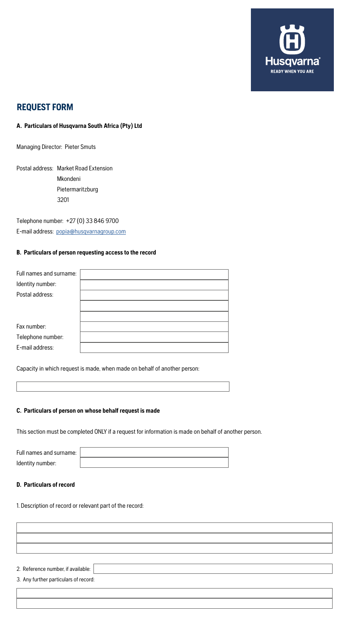

# **REQUEST FORM**

# **A. Particulars of Husqvarna South Africa (Pty) Ltd**

Managing Director: Pieter Smuts

Postal address: Market Road Extension Mkondeni Pietermaritzburg 3201

Telephone number: +27 (0) 33 846 9700 E-mail address: [popia@husqvarnagroup.com](mailto:popia%40husqvarnagroup.com?subject=)

#### **B. Particulars of person requesting access to the record**

| Full names and surname: |  |
|-------------------------|--|
| Identity number:        |  |
| Postal address:         |  |
|                         |  |
|                         |  |
| Fax number:             |  |
| Telephone number:       |  |
| E-mail address:         |  |
|                         |  |

Capacity in which request is made, when made on behalf of another person:

#### **C. Particulars of person on whose behalf request is made**

This section must be completed ONLY if a request for information is made on behalf of another person.

| Full names and surname: |  |
|-------------------------|--|
| Identity number:        |  |

#### **D. Particulars of record**

1. Description of record or relevant part of the record:

2. Reference number, if available:

3. Any further particulars of record: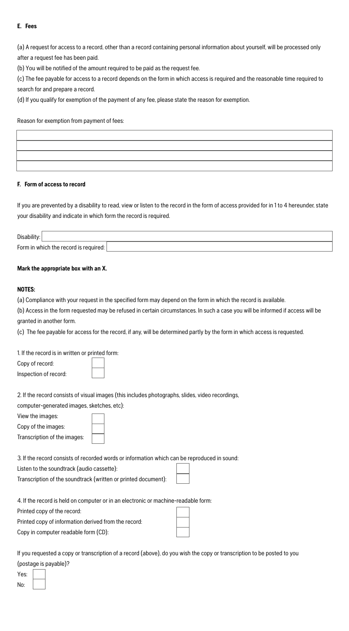# **E. Fees**

(a) A request for access to a record, other than a record containing personal information about yourself, will be processed only after a request fee has been paid.

(b) You will be notified of the amount required to be paid as the request fee.

(c) The fee payable for access to a record depends on the form in which access is required and the reasonable time required to search for and prepare a record.

(d) If you qualify for exemption of the payment of any fee, please state the reason for exemption.

Reason for exemption from payment of fees:

# **F. Form of access to record**

If you are prevented by a disability to read, view or listen to the record in the form of access provided for in 1 to 4 hereunder, state your disability and indicate in which form the record is required.

| Disability                              |  |  |  |  |
|-----------------------------------------|--|--|--|--|
| Form in which the record is required: I |  |  |  |  |

# **Mark the appropriate box with an X.**

# **NOTES:**

(a) Compliance with your request in the specified form may depend on the form in which the record is available.

(b) Access in the form requested may be refused in certain circumstances. In such a case you will be informed if access will be granted in another form.

(c) The fee payable for access for the record, if any, will be determined partly by the form in which access is requested.

1. If the record is in written or printed form: Copy of record:

Inspection of record:



2. If the record consists of visual images (this includes photographs, slides, video recordings,

computer-generated images, sketches, etc):

View the images:

Copy of the images:

Transcription of the images:

3. If the record consists of recorded words or information which can be reproduced in sound:

Listen to the soundtrack (audio cassette):

Transcription of the soundtrack (written or printed document):

 $\Box$  $\overline{\phantom{0}}$ 

4. If the record is held on computer or in an electronic or machine-readable form:

Printed copy of the record:

Printed copy of information derived from the record: Copy in computer readable form (CD):

If you requested a copy or transcription of a record (above), do you wish the copy or transcription to be posted to you (postage is payable)?

Yes: No: